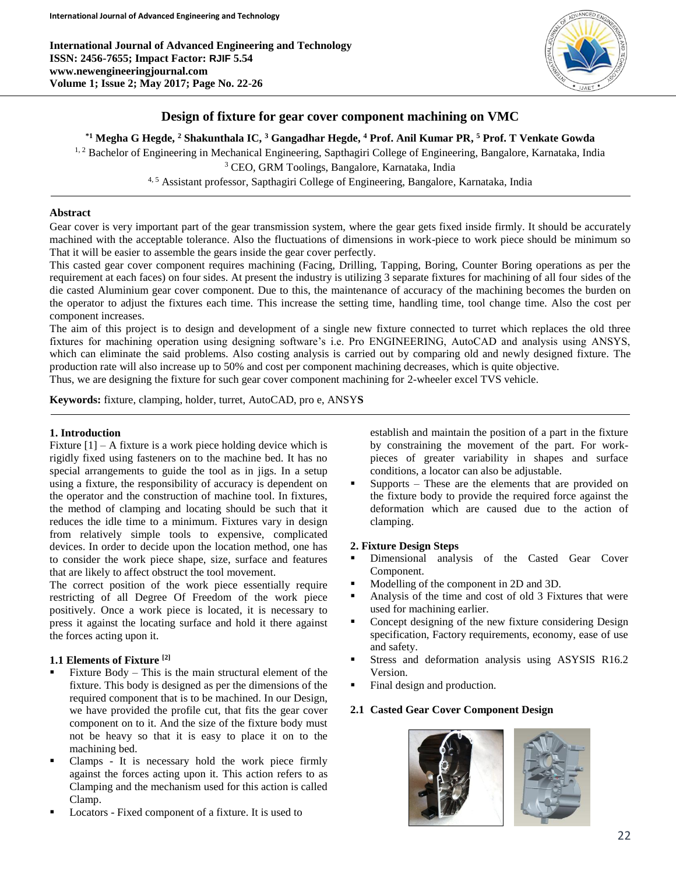**International Journal of Advanced Engineering and Technology ISSN: 2456-7655; Impact Factor: RJIF 5.54 www.newengineeringjournal.com Volume 1; Issue 2; May 2017; Page No. 22**-**26**



# **Design of fixture for gear cover component machining on VMC**

# **\*1 Megha G Hegde, <sup>2</sup> Shakunthala IC, <sup>3</sup> Gangadhar Hegde, <sup>4</sup> Prof. Anil Kumar PR, <sup>5</sup> Prof. T Venkate Gowda**

<sup>1, 2</sup> Bachelor of Engineering in Mechanical Engineering, Sapthagiri College of Engineering, Bangalore, Karnataka, India <sup>3</sup> CEO, GRM Toolings, Bangalore, Karnataka, India

<sup>4, 5</sup> Assistant professor, Sapthagiri College of Engineering, Bangalore, Karnataka, India

#### **Abstract**

Gear cover is very important part of the gear transmission system, where the gear gets fixed inside firmly. It should be accurately machined with the acceptable tolerance. Also the fluctuations of dimensions in work-piece to work piece should be minimum so That it will be easier to assemble the gears inside the gear cover perfectly.

This casted gear cover component requires machining (Facing, Drilling, Tapping, Boring, Counter Boring operations as per the requirement at each faces) on four sides. At present the industry is utilizing 3 separate fixtures for machining of all four sides of the die casted Aluminium gear cover component. Due to this, the maintenance of accuracy of the machining becomes the burden on the operator to adjust the fixtures each time. This increase the setting time, handling time, tool change time. Also the cost per component increases.

The aim of this project is to design and development of a single new fixture connected to turret which replaces the old three fixtures for machining operation using designing software's i.e. Pro ENGINEERING, AutoCAD and analysis using ANSYS, which can eliminate the said problems. Also costing analysis is carried out by comparing old and newly designed fixture. The production rate will also increase up to 50% and cost per component machining decreases, which is quite objective.

Thus, we are designing the fixture for such gear cover component machining for 2-wheeler excel TVS vehicle.

**Keywords:** fixture, clamping, holder, turret, AutoCAD, pro e, ANSY**S**

## **1. Introduction**

Fixture  $[1]$  – A fixture is a work piece holding device which is rigidly fixed using fasteners on to the machine bed. It has no special arrangements to guide the tool as in jigs. In a setup using a fixture, the responsibility of accuracy is dependent on the operator and the construction of machine tool. In fixtures, the method of clamping and locating should be such that it reduces the idle time to a minimum. Fixtures vary in design from relatively simple tools to expensive, complicated devices. In order to decide upon the location method, one has to consider the work piece shape, size, surface and features that are likely to affect obstruct the tool movement.

The correct position of the work piece essentially require restricting of all Degree Of Freedom of the work piece positively. Once a work piece is located, it is necessary to press it against the locating surface and hold it there against the forces acting upon it.

## **1.1 Elements of Fixture [2]**

- Fixture Body This is the main structural element of the fixture. This body is designed as per the dimensions of the required component that is to be machined. In our Design, we have provided the profile cut, that fits the gear cover component on to it. And the size of the fixture body must not be heavy so that it is easy to place it on to the machining bed.
- Clamps It is necessary hold the work piece firmly against the forces acting upon it. This action refers to as Clamping and the mechanism used for this action is called Clamp.
- Locators Fixed component of a fixture. It is used to

establish and maintain the position of a part in the fixture by constraining the movement of the part. For workpieces of greater variability in shapes and surface conditions, a locator can also be adjustable.

 Supports – These are the elements that are provided on the fixture body to provide the required force against the deformation which are caused due to the action of clamping.

#### **2. Fixture Design Steps**

- Dimensional analysis of the Casted Gear Cover Component.
- Modelling of the component in 2D and 3D.
- Analysis of the time and cost of old 3 Fixtures that were used for machining earlier.
- Concept designing of the new fixture considering Design specification, Factory requirements, economy, ease of use and safety.
- Stress and deformation analysis using ASYSIS R16.2 Version.
- Final design and production.

# **2.1 Casted Gear Cover Component Design**

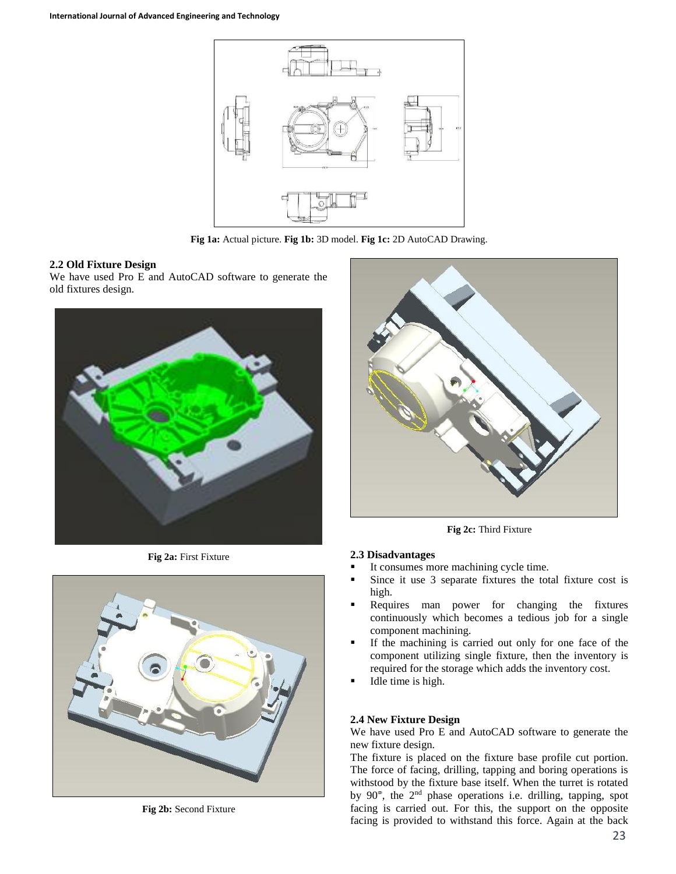

**Fig 1a:** Actual picture. **Fig 1b:** 3D model. **Fig 1c:** 2D AutoCAD Drawing.

## **2.2 Old Fixture Design**

We have used Pro E and AutoCAD software to generate the old fixtures design.



**Fig 2a:** First Fixture



**Fig 2b:** Second Fixture



**Fig 2c:** Third Fixture

#### **2.3 Disadvantages**

- It consumes more machining cycle time.
- Since it use 3 separate fixtures the total fixture cost is high.
- Requires man power for changing the fixtures continuously which becomes a tedious job for a single component machining.
- If the machining is carried out only for one face of the component utilizing single fixture, then the inventory is required for the storage which adds the inventory cost.
- Idle time is high.

# **2.4 New Fixture Design**

We have used Pro E and AutoCAD software to generate the new fixture design.

The fixture is placed on the fixture base profile cut portion. The force of facing, drilling, tapping and boring operations is withstood by the fixture base itself. When the turret is rotated by  $90^\circ$ , the  $2^{nd}$  phase operations i.e. drilling, tapping, spot facing is carried out. For this, the support on the opposite facing is provided to withstand this force. Again at the back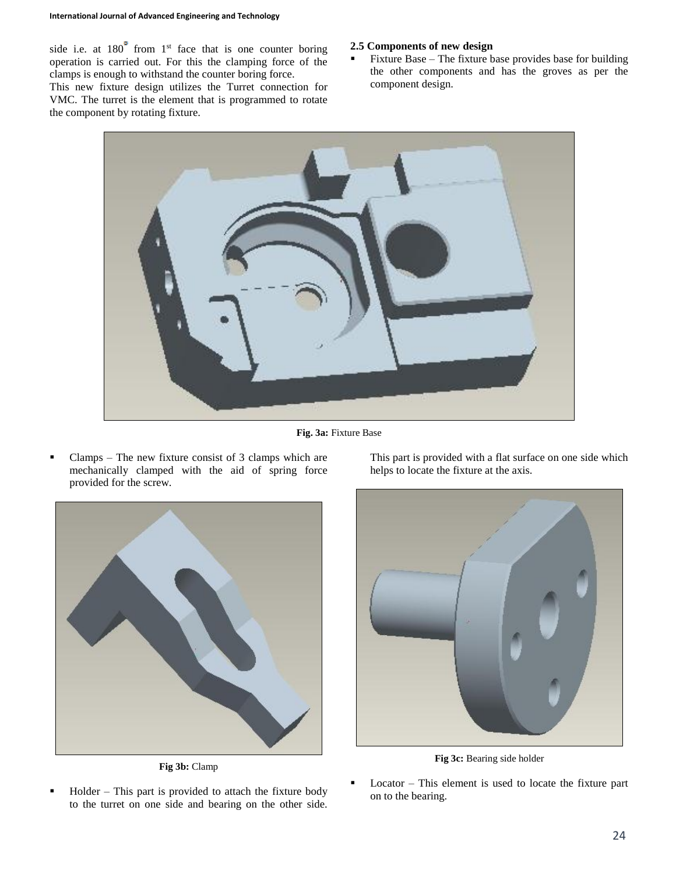side i.e. at  $180^\circ$  from  $1^\text{st}$  face that is one counter boring operation is carried out. For this the clamping force of the clamps is enough to withstand the counter boring force.

This new fixture design utilizes the Turret connection for VMC. The turret is the element that is programmed to rotate the component by rotating fixture.

# **2.5 Components of new design**

 Fixture Base – The fixture base provides base for building the other components and has the groves as per the component design.



**Fig. 3a:** Fixture Base

 $\blacksquare$  Clamps – The new fixture consist of 3 clamps which are mechanically clamped with the aid of spring force provided for the screw.



**Fig 3b:** Clamp

 Holder – This part is provided to attach the fixture body to the turret on one side and bearing on the other side.

This part is provided with a flat surface on one side which helps to locate the fixture at the axis.



**Fig 3c:** Bearing side holder

 Locator – This element is used to locate the fixture part on to the bearing.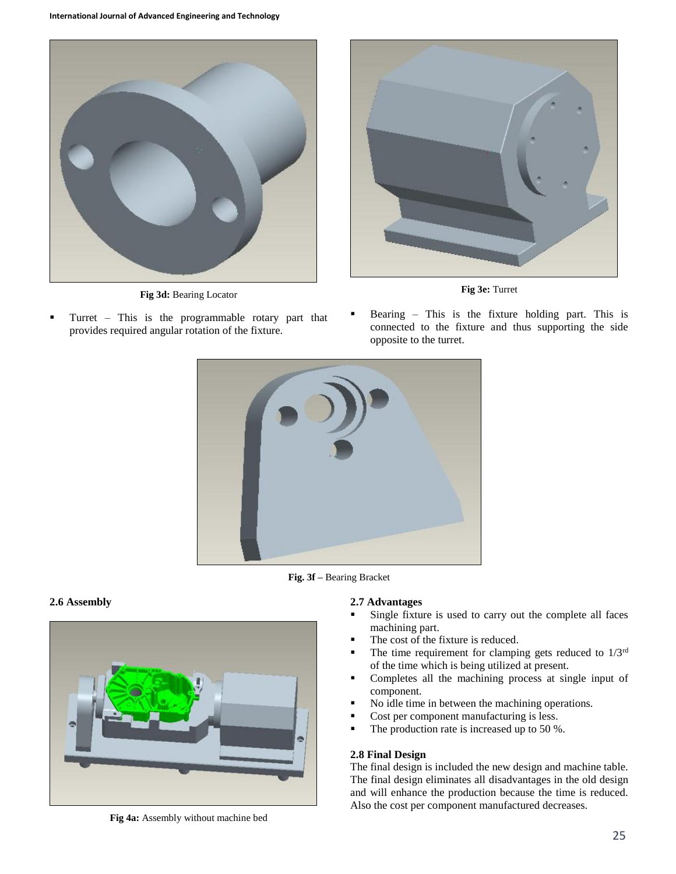

**Fig 3d:** Bearing Locator

 Turret – This is the programmable rotary part that provides required angular rotation of the fixture.



**Fig 3e:** Turret

 Bearing – This is the fixture holding part. This is connected to the fixture and thus supporting the side opposite to the turret.



**Fig. 3f –** Bearing Bracket

# **2.6 Assembly**



**2.7 Advantages**

- Single fixture is used to carry out the complete all faces machining part.
- The cost of the fixture is reduced.
- The time requirement for clamping gets reduced to  $1/3<sup>rd</sup>$ of the time which is being utilized at present.
- Completes all the machining process at single input of component.
- No idle time in between the machining operations.
- Cost per component manufacturing is less.
- $\blacksquare$  The production rate is increased up to 50 %.

# **2.8 Final Design**

The final design is included the new design and machine table. The final design eliminates all disadvantages in the old design and will enhance the production because the time is reduced. Also the cost per component manufactured decreases.

**Fig 4a:** Assembly without machine bed